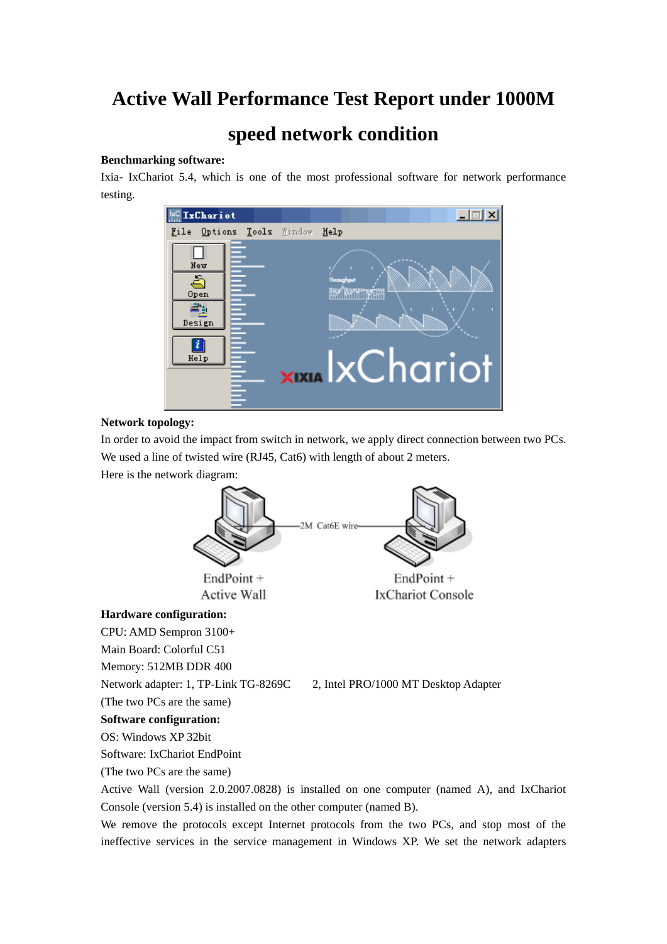# **Active Wall Performance Test Report under 1000M**

# **speed network condition**

### **Benchmarking software:**

Ixia- IxChariot 5.4, which is one of the most professional software for network performance testing.



#### **Network topology:**

In order to avoid the impact from switch in network, we apply direct connection between two PCs. We used a line of twisted wire (RJ45, Cat6) with length of about 2 meters.

Here is the network diagram:



Software: IxChariot EndPoint

(The two PCs are the same)

Active Wall (version 2.0.2007.0828) is installed on one computer (named A), and IxChariot Console (version 5.4) is installed on the other computer (named B).

We remove the protocols except Internet protocols from the two PCs, and stop most of the ineffective services in the service management in Windows XP. We set the network adapters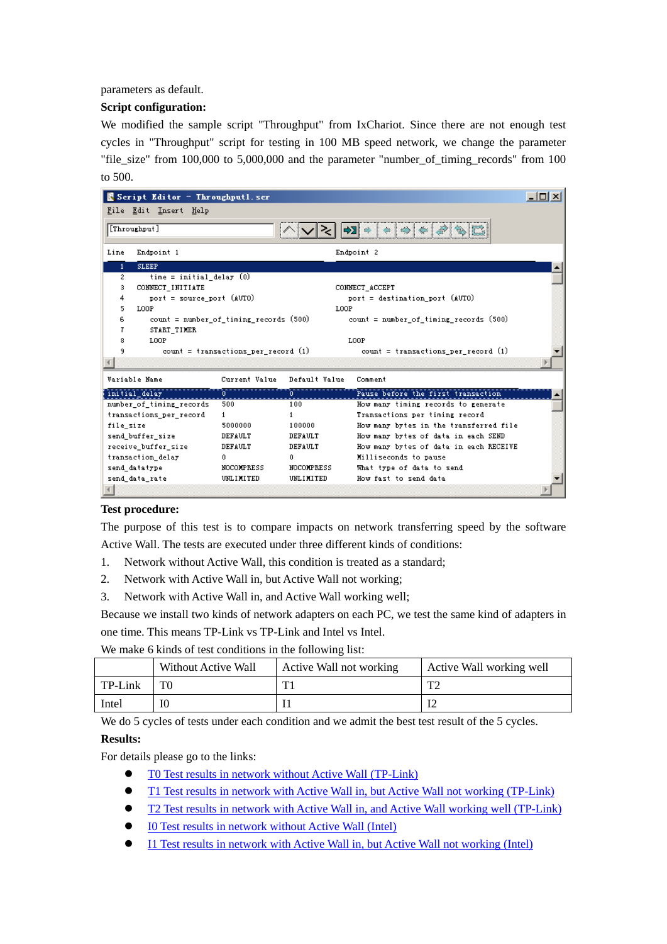parameters as default.

## **Script configuration:**

We modified the sample script "Throughput" from IxChariot. Since there are not enough test cycles in "Throughput" script for testing in 100 MB speed network, we change the parameter "file\_size" from 100,000 to 5,000,000 and the parameter "number\_of\_timing\_records" from 100 to 500.



#### **Test procedure:**

The purpose of this test is to compare impacts on network transferring speed by the software Active Wall. The tests are executed under three different kinds of conditions:

- 1. Network without Active Wall, this condition is treated as a standard;
- 2. Network with Active Wall in, but Active Wall not working;
- 3. Network with Active Wall in, and Active Wall working well;

Because we install two kinds of network adapters on each PC, we test the same kind of adapters in one time. This means TP-Link vs TP-Link and Intel vs Intel.

We make 6 kinds of test conditions in the following list:

|         | Without Active Wall | Active Wall not working | Active Wall working well |
|---------|---------------------|-------------------------|--------------------------|
| TP-Link | T۲                  | T 1                     | mе.                      |
| Intel   | 10                  |                         |                          |

We do 5 cycles of tests under each condition and we admit the best test result of the 5 cycles.

#### **Results:**

For details please go to the links:

- z [T0 Test results in network without Active Wall \(TP-Link\)](http://awall.lanctrl.com/en/benchmark/T0.html)
- [T1 Test results in network with Active Wall in, but Active Wall not working \(TP-Link\)](http://awall.lanctrl.com/en/benchmark/T1.html)
- z [T2 Test results in network with Active Wall in, and Active Wall working well \(TP-Link\)](http://awall.lanctrl.com/en/benchmark/T2.html)
- IO Test results in network without Active Wall (Intel)
- [I1 Test results in network with Active Wall in, but Active Wall not working \(Intel\)](http://awall.lanctrl.com/en/benchmark/I1.html)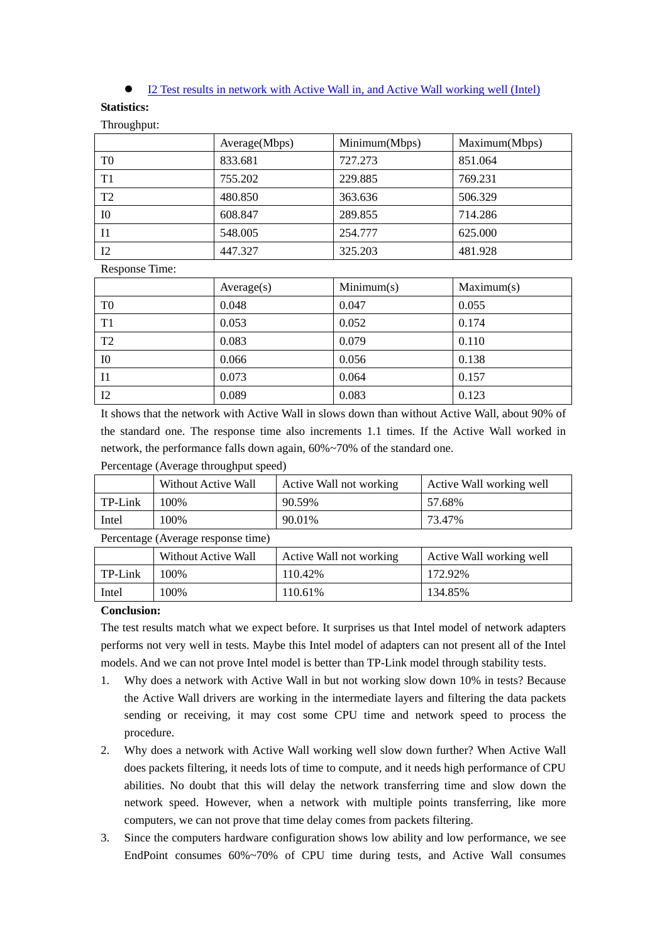[I2 Test results in network with Active Wall in, and Active Wall working well \(Intel\)](http://awall.lanctrl.com/en/benchmark/I2.html)

#### **Statistics:**

Throughput:

|                | Average(Mbps) | Minimum(Mbps) | Maximum(Mbps) |
|----------------|---------------|---------------|---------------|
| T <sub>0</sub> | 833.681       | 727.273       | 851.064       |
| T <sub>1</sub> | 755.202       | 229.885       | 769.231       |
| T <sub>2</sub> | 480.850       | 363.636       | 506.329       |
| 10             | 608.847       | 289.855       | 714.286       |
| 11             | 548.005       | 254.777       | 625.000       |
| I <sub>2</sub> | 447.327       | 325.203       | 481.928       |

Response Time:

|                | Average(s) | Minimum(s) | Maximum(s) |
|----------------|------------|------------|------------|
| T <sub>0</sub> | 0.048      | 0.047      | 0.055      |
| T <sub>1</sub> | 0.053      | 0.052      | 0.174      |
| T <sub>2</sub> | 0.083      | 0.079      | 0.110      |
| $_{\rm I0}$    | 0.066      | 0.056      | 0.138      |
| $\blacksquare$ | 0.073      | 0.064      | 0.157      |
| 12             | 0.089      | 0.083      | 0.123      |

It shows that the network with Active Wall in slows down than without Active Wall, about 90% of the standard one. The response time also increments 1.1 times. If the Active Wall worked in network, the performance falls down again, 60%~70% of the standard one.

Percentage (Average throughput speed)

|         | Without Active Wall | Active Wall not working | Active Wall working well |
|---------|---------------------|-------------------------|--------------------------|
| TP-Link | .00%                | 90.59%                  | 57.68%                   |
| Intel   | 100%                | 90.01%                  | 73.47%                   |

Percentage (Average response time)

|         | Without Active Wall | Active Wall not working | Active Wall working well |
|---------|---------------------|-------------------------|--------------------------|
| TP-Link | 100%                | 110.42%                 | 172.92%                  |
| Intel   | $00\%$              | 110.61%                 | 134.85%                  |

#### **Conclusion:**

The test results match what we expect before. It surprises us that Intel model of network adapters performs not very well in tests. Maybe this Intel model of adapters can not present all of the Intel models. And we can not prove Intel model is better than TP-Link model through stability tests.

- 1. Why does a network with Active Wall in but not working slow down 10% in tests? Because the Active Wall drivers are working in the intermediate layers and filtering the data packets sending or receiving, it may cost some CPU time and network speed to process the procedure.
- 2. Why does a network with Active Wall working well slow down further? When Active Wall does packets filtering, it needs lots of time to compute, and it needs high performance of CPU abilities. No doubt that this will delay the network transferring time and slow down the network speed. However, when a network with multiple points transferring, like more computers, we can not prove that time delay comes from packets filtering.
- 3. Since the computers hardware configuration shows low ability and low performance, we see EndPoint consumes 60%~70% of CPU time during tests, and Active Wall consumes